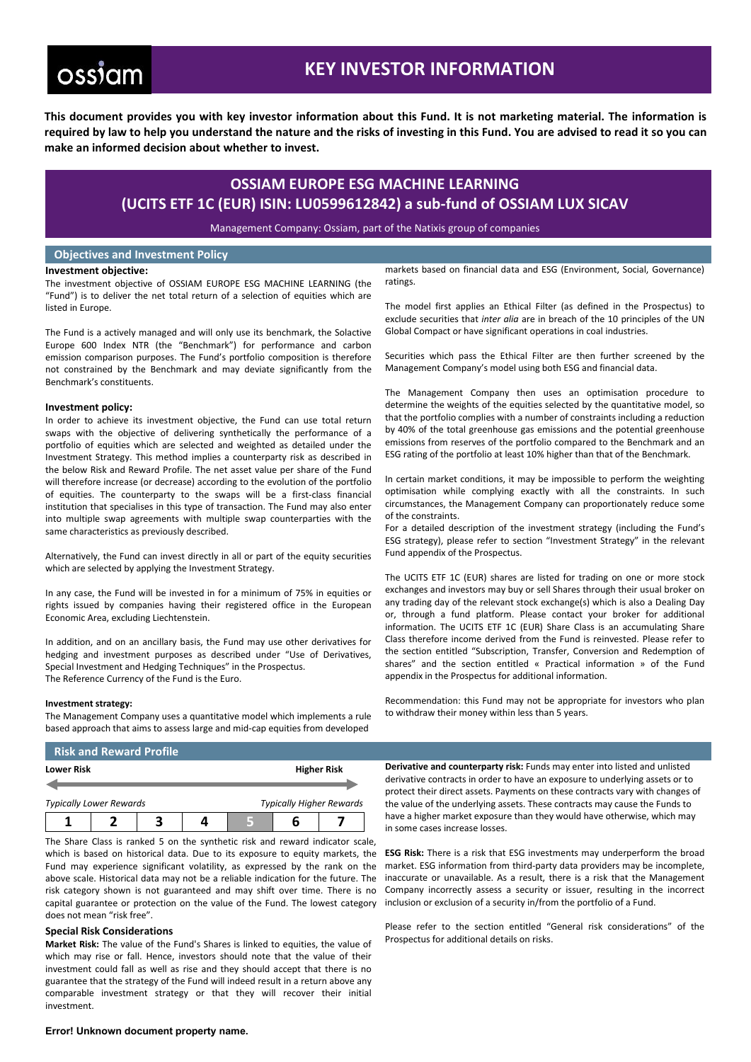# **ossiam**

# **KEY INVESTOR INFORMATION**

**This document provides you with key investor information about this Fund. It is not marketing material. The information is required by law to help you understand the nature and the risks of investing in this Fund. You are advised to read it so you can make an informed decision about whether to invest.**

## **OSSIAM EUROPE ESG MACHINE LEARNING (UCITS ETF 1C (EUR) ISIN: LU0599612842) a sub-fund of OSSIAM LUX SICAV**

Management Company: Ossiam, part of the Natixis group of companies

### **Objectives and Investment Policy**

#### **Investment objective:**

The investment objective of OSSIAM EUROPE ESG MACHINE LEARNING (the "Fund") is to deliver the net total return of a selection of equities which are listed in Europe.

The Fund is a actively managed and will only use its benchmark, the Solactive Europe 600 Index NTR (the "Benchmark") for performance and carbon emission comparison purposes. The Fund's portfolio composition is therefore not constrained by the Benchmark and may deviate significantly from the Benchmark's constituents.

#### **Investment policy:**

In order to achieve its investment objective, the Fund can use total return swaps with the objective of delivering synthetically the performance of a portfolio of equities which are selected and weighted as detailed under the Investment Strategy. This method implies a counterparty risk as described in the below Risk and Reward Profile. The net asset value per share of the Fund will therefore increase (or decrease) according to the evolution of the portfolio of equities. The counterparty to the swaps will be a first-class financial institution that specialises in this type of transaction. The Fund may also enter into multiple swap agreements with multiple swap counterparties with the same characteristics as previously described.

Alternatively, the Fund can invest directly in all or part of the equity securities which are selected by applying the Investment Strategy.

In any case, the Fund will be invested in for a minimum of 75% in equities or rights issued by companies having their registered office in the European Economic Area, excluding Liechtenstein.

In addition, and on an ancillary basis, the Fund may use other derivatives for hedging and investment purposes as described under "Use of Derivatives, Special Investment and Hedging Techniques" in the Prospectus. The Reference Currency of the Fund is the Euro.

#### **Investment strategy:**

The Management Company uses a quantitative model which implements a rule based approach that aims to assess large and mid-cap equities from developed

markets based on financial data and ESG (Environment, Social, Governance) ratings.

The model first applies an Ethical Filter (as defined in the Prospectus) to exclude securities that *inter alia* are in breach of the 10 principles of the UN Global Compact or have significant operations in coal industries.

Securities which pass the Ethical Filter are then further screened by the Management Company's model using both ESG and financial data.

The Management Company then uses an optimisation procedure to determine the weights of the equities selected by the quantitative model, so that the portfolio complies with a number of constraints including a reduction by 40% of the total greenhouse gas emissions and the potential greenhouse emissions from reserves of the portfolio compared to the Benchmark and an ESG rating of the portfolio at least 10% higher than that of the Benchmark.

In certain market conditions, it may be impossible to perform the weighting optimisation while complying exactly with all the constraints. In such circumstances, the Management Company can proportionately reduce some of the constraints.

For a detailed description of the investment strategy (including the Fund's ESG strategy), please refer to section "Investment Strategy" in the relevant Fund appendix of the Prospectus.

The UCITS ETF 1C (EUR) shares are listed for trading on one or more stock exchanges and investors may buy or sell Shares through their usual broker on any trading day of the relevant stock exchange(s) which is also a Dealing Day or, through a fund platform. Please contact your broker for additional information. The UCITS ETF 1C (EUR) Share Class is an accumulating Share Class therefore income derived from the Fund is reinvested. Please refer to the section entitled "Subscription, Transfer, Conversion and Redemption of shares" and the section entitled « Practical information » of the Fund appendix in the Prospectus for additional information.

Recommendation: this Fund may not be appropriate for investors who plan to withdraw their money within less than 5 years.

### **Risk and Reward Profile**

| <b>Lower Risk</b>                                                 |  |  |  | <b>Higher Risk</b> |  |  |
|-------------------------------------------------------------------|--|--|--|--------------------|--|--|
|                                                                   |  |  |  |                    |  |  |
| <b>Typically Higher Rewards</b><br><b>Typically Lower Rewards</b> |  |  |  |                    |  |  |
|                                                                   |  |  |  |                    |  |  |

The Share Class is ranked 5 on the synthetic risk and reward indicator scale, which is based on historical data. Due to its exposure to equity markets, the ESG Risk: There is a risk that ESG investments may underperform the broad Fund may experience significant volatility, as expressed by the rank on the above scale. Historical data may not be a reliable indication for the future. The risk category shown is not guaranteed and may shift over time. There is no capital guarantee or protection on the value of the Fund. The lowest category does not mean "risk free".

#### **Special Risk Considerations**

**Market Risk:** The value of the Fund's Shares is linked to equities, the value of which may rise or fall. Hence, investors should note that the value of their investment could fall as well as rise and they should accept that there is no guarantee that the strategy of the Fund will indeed result in a return above any comparable investment strategy or that they will recover their initial investment.

**Derivative and counterparty risk:** Funds may enter into listed and unlisted derivative contracts in order to have an exposure to underlying assets or to protect their direct assets. Payments on these contracts vary with changes of the value of the underlying assets. These contracts may cause the Funds to have a higher market exposure than they would have otherwise, which may in some cases increase losses.

market. ESG information from third-party data providers may be incomplete, inaccurate or unavailable. As a result, there is a risk that the Management Company incorrectly assess a security or issuer, resulting in the incorrect inclusion or exclusion of a security in/from the portfolio of a Fund.

Please refer to the section entitled "General risk considerations" of the Prospectus for additional details on risks.